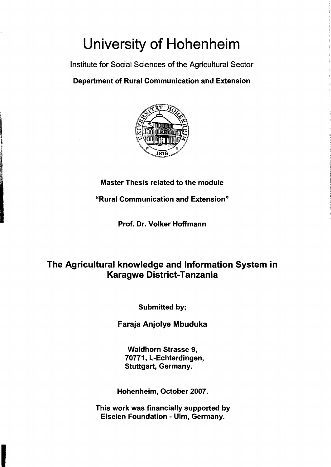# University of Hohenheim

Institute for Social Sciences of the Agricultural Sector

#### Department of Rural Communication and Extension



#### Master Thesis related to the module

"Rural Communication and Extension"

Prof. Dr. Volker Hoffmann

### The Agricultural knowledge and Information System in Karagwe District-Tanzania

Submitted by;

Faraja Anjolye Mbuduka

Waldhorn Strasse 9, 70771, L-Echterdingen, Stuttgart, Germany.

Hohenheim, October 2007.

This work was financially supported by Eiselen Foundation - Ulm, Germany.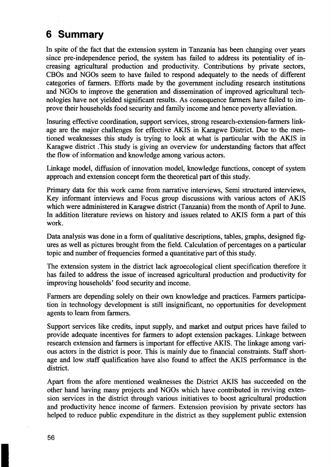## **6 Summary**

In spite of the fact that the extension system in Tanzania has been changing over years since pre-independence period, the system has failed to address its potentiality of increasing agricultural production and productivity. Contributions by private sectors, CBOs and NGOs seem to have failed to respond adequately to the needs of different categories of farmers. Efforts made by the govemment induding research institutions and NGOs to improve the generation and dissemination of improved agricultural technologies have not yielded significant results. As consequence farmers have failed to improve their households food security and family income and hence poverty alleviation.

Insuring effective coordination, support services, strong research-extension-farmers linkage are the major challenges for effective AKIS in Karagwe District. Due to the mentioned weaknesses this study is trying to look at what is particular with the AKIS in Karagwe district .This study is giving an overview for understanding factors that affect the flow of information and knowledge among various actors.

Linkage model, diffusion of innovation model, knowledge functions, concept of system approach and extension concept form the theoretical part of this study.

Primary data for this work came from narrative interviews, Semi structured interviews, Key informant interviews and Focus group discussions with various actors of AKIS which were administered in Karagwe district (Tanzania) from the month of April to June. In addition literature reviews on history and issues related to AKIS form a part of this work.

Data analysis was done in a form of qualitative descriptions, tables, graphs, designed figures as weIl as pictures brought from the field. Calculation of percentages on a particular topic and number of frequencies formed a quantitative part of this study.

The extension system in the district lack agroecological dient specification therefore it has failed to address the issue of increased agricultural production and productivity for improving households' food security and income.

Farmers are depending solely on their own knowledge and practices. Farmers participation in technology development is still insignificant, no opportunities for development agents to learn from farmers.

Support services like credits, input supply, and market and output prices have failed to provide adequate incentives for farmers to adopt extension packages. Linkage between research extension and farmers is important for effective AKIS. The linkage among various actors in the district is poor. This is mainly due to fmancial constraints. Staff shortage and low staff qualification have also found to affect the AKIS performance in the district.

Apart from the afore mentioned weaknesses the District AKIS has succeeded on the other hand having many projects and NGOs which have contributed in reviving extension services in the district through various initiatives to boost agricultural production and productivity hence income of farmers. Extension provision by private sectors has helped to reduce public expenditure in the district as they supplement public extension